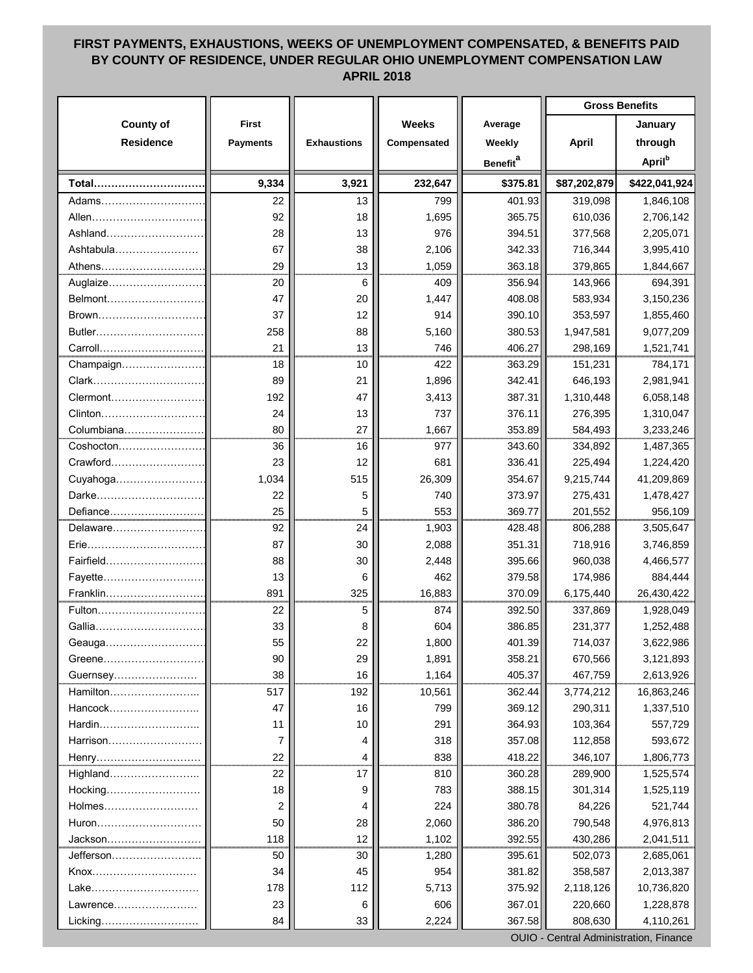## **FIRST PAYMENTS, EXHAUSTIONS, WEEKS OF UNEMPLOYMENT COMPENSATED, & BENEFITS PAID BY COUNTY OF RESIDENCE, UNDER REGULAR OHIO UNEMPLOYMENT COMPENSATION LAW APRIL 2018**

|                  |                 |                    |              |                      | <b>Gross Benefits</b> |                           |  |
|------------------|-----------------|--------------------|--------------|----------------------|-----------------------|---------------------------|--|
| <b>County of</b> | <b>First</b>    |                    | <b>Weeks</b> | Average              |                       | January                   |  |
| <b>Residence</b> | <b>Payments</b> | <b>Exhaustions</b> | Compensated  | Weekly               | <b>April</b>          | through                   |  |
|                  |                 |                    |              | Benefit <sup>a</sup> |                       | <b>April</b> <sup>b</sup> |  |
| Total            | 9,334           | 3,921              | 232,647      | \$375.81             | \$87,202,879          | \$422,041,924             |  |
| Adams            | 22              | 13                 | 799          | 401.93               | 319,098               | 1,846,108                 |  |
| Allen            | 92              | 18                 | 1,695        | 365.75               | 610,036               | 2,706,142                 |  |
| Ashland          | 28              | 13                 | 976          | 394.51               | 377,568               | 2,205,071                 |  |
| Ashtabula        | 67              | 38                 | 2,106        | 342.33               | 716,344               | 3,995,410                 |  |
| Athens           | 29              | 13                 | 1,059        | 363.18               | 379,865               | 1,844,667                 |  |
| Auglaize         | 20              | 6                  | 409          | 356.94               | 143,966               | 694,391                   |  |
| Belmont          | 47              | 20                 | 1,447        | 408.08               | 583,934               | 3,150,236                 |  |
| Brown            | 37              | 12                 | 914          | 390.10               | 353,597               | 1,855,460                 |  |
| Butler           | 258             | 88                 | 5,160        | 380.53               | 1,947,581             | 9,077,209                 |  |
| Carroll          | 21              | 13                 | 746          | 406.27               | 298,169               | 1,521,741                 |  |
| Champaign        | 18              | 10                 | 422          | 363.29               | 151,231               | 784,171                   |  |
| Clark            | 89              | 21                 | 1,896        | 342.41               | 646,193               | 2,981,941                 |  |
|                  | 192             | 47                 | 3,413        | 387.31               | 1,310,448             | 6,058,148                 |  |
| Clinton          | 24              | 13                 | 737          | 376.11               | 276,395               | 1,310,047                 |  |
| Columbiana       | 80              | 27                 | 1,667        | 353.89               | 584,493               | 3,233,246                 |  |
| Coshocton        | 36              | 16                 | 977          | 343.60               | 334,892               | 1,487,365                 |  |
| Crawford         | 23              | 12                 | 681          | 336.41               | 225,494               | 1,224,420                 |  |
|                  | 1,034           | 515                | 26,309       | 354.67               | 9,215,744             | 41,209,869                |  |
| Darke            | 22              | 5                  | 740          | 373.97               | 275,431               | 1,478,427                 |  |
| Defiance         | 25              | 5                  | 553          | 369.77               | 201,552               | 956,109                   |  |
| Delaware         | 92              | 24                 | 1,903        | 428.48               | 806,288               | 3,505,647                 |  |
| Erie             | 87              | 30                 | 2,088        | 351.31               | 718,916               | 3,746,859                 |  |
| Fairfield.       | 88              | 30                 | 2,448        | 395.66               | 960,038               | 4,466,577                 |  |
| Fayette          | 13              | 6                  | 462          | 379.58               | 174,986               | 884,444                   |  |
| Franklin.        | 891             | 325                | 16,883       | 370.09               | 6,175,440             | 26,430,422                |  |
| Fulton           | 22              | 5                  | 874          | 392.50               | 337,869               | 1,928,049                 |  |
| Gallia           | 33              | 8                  | 604          | 386.85               | 231,377               | 1,252,488                 |  |
| Geauga           | 55              | 22                 | 1,800        | 401.39               | 714,037               | 3,622,986                 |  |
| Greene           | 90              | 29                 | 1,891        | 358.21               | 670,566               | 3,121,893                 |  |
| Guernsey         | 38              | 16                 | 1,164        | 405.37               | 467,759               | 2,613,926                 |  |
| Hamilton         | 517             | 192                | 10,561       | 362.44               | 3,774,212             | 16,863,246                |  |
| Hancock          | 47              | 16                 | 799          | 369.12               | 290,311               | 1,337,510                 |  |
| Hardin           | 11              | 10                 | 291          | 364.93               | 103,364               | 557,729                   |  |
| Harrison         | 7               | 4                  | 318          | 357.08               | 112,858               | 593,672                   |  |
|                  | 22              | 4                  | 838          | 418.22               | 346,107               | 1,806,773                 |  |
| Highland         | 22              | 17                 | 810          | 360.28               | 289,900               | 1,525,574                 |  |
| Hocking          | 18              | 9                  | 783          | 388.15               | 301,314               | 1,525,119                 |  |
| Holmes           | $\overline{2}$  | 4                  | 224          | 380.78               | 84,226                | 521,744                   |  |
| Huron            | 50              | 28                 | 2,060        | 386.20               | 790,548               | 4,976,813                 |  |
| Jackson          | 118             | 12                 | 1,102        | 392.55               | 430,286               | 2,041,511                 |  |
| Jefferson        | 50              | 30                 | 1,280        | 395.61               | 502,073               | 2,685,061                 |  |
| Knox             | 34              | 45                 | 954          | 381.82               | 358,587               | 2,013,387                 |  |
| Lake             | 178             | 112                | 5,713        | 375.92               | 2,118,126             | 10,736,820                |  |
| Lawrence         | 23              | 6                  | 606          | 367.01               | 220,660               | 1,228,878                 |  |
| Licking          | 84              | 33                 | 2,224        | 367.58               | 808,630               | 4,110,261                 |  |

OUIO - Central Administration, Finance